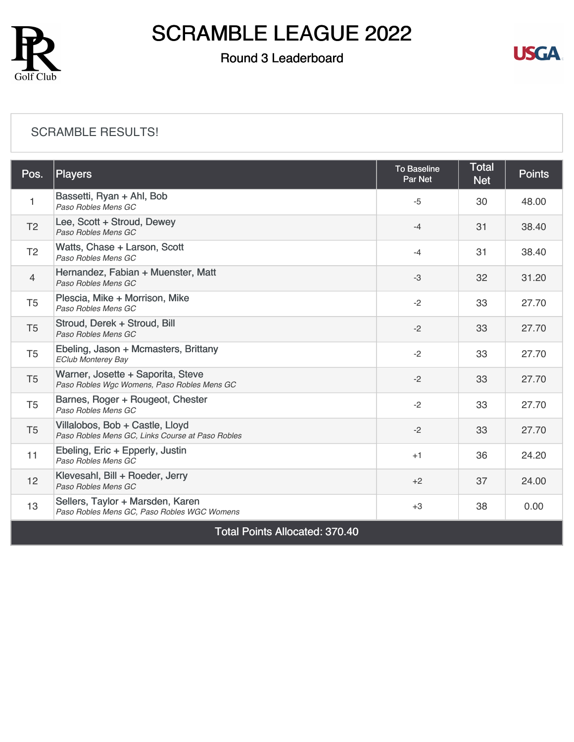

### Round 3 Leaderboard



#### [SCRAMBLE RESULTS!](https://cdn2.golfgenius.com/v2tournaments/8306324981210464156?called_from=&round_index=3)

| Pos.                                  | Players                                                                             | <b>To Baseline</b><br>Par Net | <b>Total</b><br><b>Net</b> | <b>Points</b> |  |  |
|---------------------------------------|-------------------------------------------------------------------------------------|-------------------------------|----------------------------|---------------|--|--|
| 1                                     | Bassetti, Ryan + Ahl, Bob<br>Paso Robles Mens GC                                    | $-5$                          | 30                         | 48.00         |  |  |
| T <sub>2</sub>                        | Lee, Scott + Stroud, Dewey<br>Paso Robles Mens GC                                   | $-4$                          | 31                         | 38.40         |  |  |
| T <sub>2</sub>                        | Watts, Chase + Larson, Scott<br>Paso Robles Mens GC                                 | $-4$                          | 31                         | 38.40         |  |  |
| 4                                     | Hernandez, Fabian + Muenster, Matt<br>Paso Robles Mens GC                           | $-3$                          | 32                         | 31.20         |  |  |
| T <sub>5</sub>                        | Plescia, Mike + Morrison, Mike<br>Paso Robles Mens GC                               | $-2$                          | 33                         | 27.70         |  |  |
| T <sub>5</sub>                        | Stroud, Derek + Stroud, Bill<br>Paso Robles Mens GC                                 | $-2$                          | 33                         | 27.70         |  |  |
| T <sub>5</sub>                        | Ebeling, Jason + Mcmasters, Brittany<br><b>EClub Monterey Bay</b>                   | $-2$                          | 33                         | 27.70         |  |  |
| T <sub>5</sub>                        | Warner, Josette + Saporita, Steve<br>Paso Robles Wgc Womens, Paso Robles Mens GC    | $-2$                          | 33                         | 27.70         |  |  |
| T <sub>5</sub>                        | Barnes, Roger + Rougeot, Chester<br>Paso Robles Mens GC                             | $-2$                          | 33                         | 27.70         |  |  |
| T <sub>5</sub>                        | Villalobos, Bob + Castle, Lloyd<br>Paso Robles Mens GC, Links Course at Paso Robles | $-2$                          | 33                         | 27.70         |  |  |
| 11                                    | Ebeling, Eric + Epperly, Justin<br>Paso Robles Mens GC                              | $+1$                          | 36                         | 24.20         |  |  |
| 12                                    | Klevesahl, Bill + Roeder, Jerry<br>Paso Robles Mens GC                              | $+2$                          | 37                         | 24.00         |  |  |
| 13                                    | Sellers, Taylor + Marsden, Karen<br>Paso Robles Mens GC, Paso Robles WGC Womens     | $+3$                          | 38                         | 0.00          |  |  |
| <b>Total Points Allocated: 370.40</b> |                                                                                     |                               |                            |               |  |  |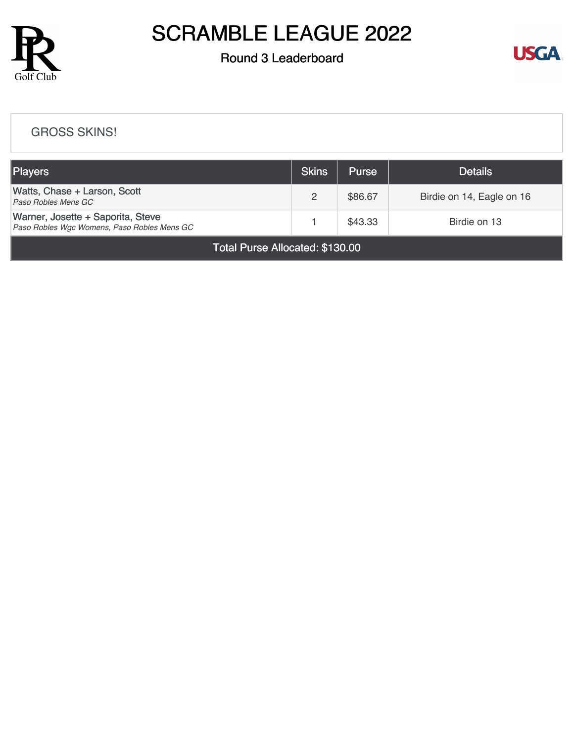

### Round 3 Leaderboard



#### [GROSS SKINS!](https://cdn2.golfgenius.com/v2tournaments/8306328377455853469?called_from=&round_index=3)

| <b>Players</b>                                                                   | <b>Skins</b> | <b>Purse</b> | <b>Details</b>            |
|----------------------------------------------------------------------------------|--------------|--------------|---------------------------|
| Watts, Chase + Larson, Scott<br>Paso Robles Mens GC                              |              | \$86.67      | Birdie on 14, Eagle on 16 |
| Warner, Josette + Saporita, Steve<br>Paso Robles Wgc Womens, Paso Robles Mens GC |              | \$43.33      | Birdie on 13              |

Total Purse Allocated: \$130.00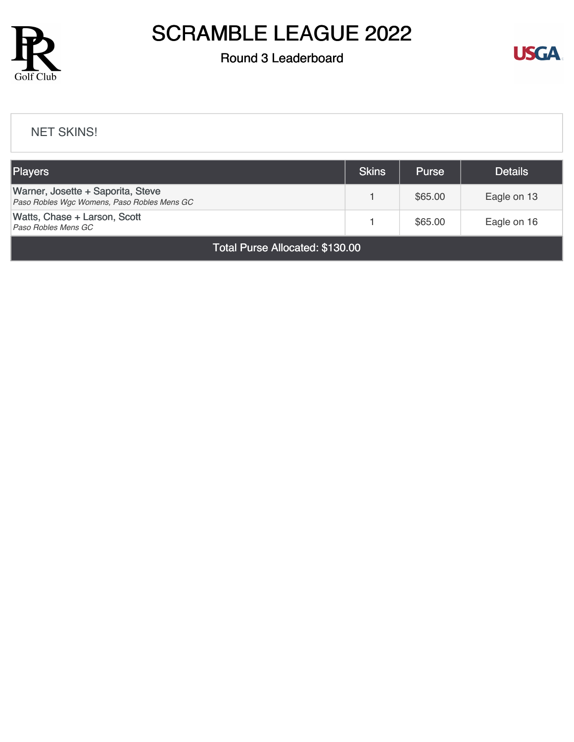

### Round 3 Leaderboard



#### [NET SKINS!](https://cdn2.golfgenius.com/v2tournaments/8306330254658551710?called_from=&round_index=3)

| <b>Players</b>                                                                   | <b>Skins</b> | <b>Purse</b> | <b>Details</b> |  |  |
|----------------------------------------------------------------------------------|--------------|--------------|----------------|--|--|
| Warner, Josette + Saporita, Steve<br>Paso Robles Wgc Womens, Paso Robles Mens GC |              | \$65.00      | Eagle on 13    |  |  |
| Watts, Chase + Larson, Scott<br>Paso Robles Mens GC                              |              | \$65.00      | Eagle on 16    |  |  |
| Total Purse Allocated: \$130.00                                                  |              |              |                |  |  |